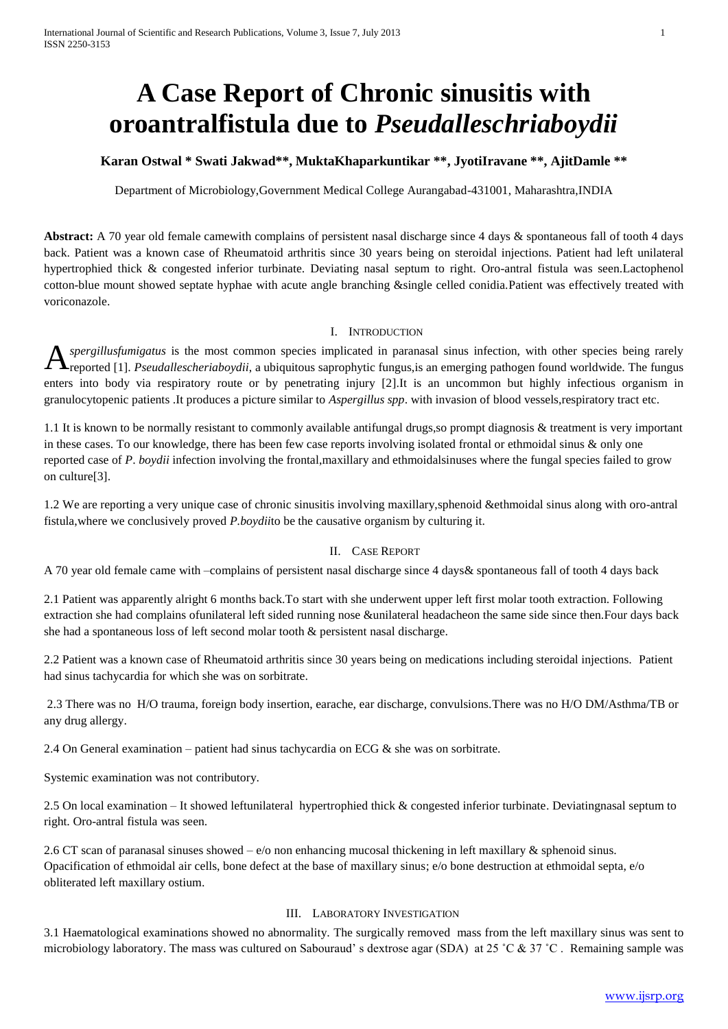# **A Case Report of Chronic sinusitis with oroantralfistula due to** *Pseudalleschriaboydii*

# **Karan Ostwal \* Swati Jakwad\*\*, MuktaKhaparkuntikar \*\*, JyotiIravane \*\*, AjitDamle \*\***

Department of Microbiology,Government Medical College Aurangabad-431001, Maharashtra,INDIA

**Abstract:** A 70 year old female camewith complains of persistent nasal discharge since 4 days & spontaneous fall of tooth 4 days back. Patient was a known case of Rheumatoid arthritis since 30 years being on steroidal injections. Patient had left unilateral hypertrophied thick & congested inferior turbinate. Deviating nasal septum to right. Oro-antral fistula was seen.Lactophenol cotton-blue mount showed septate hyphae with acute angle branching &single celled conidia.Patient was effectively treated with voriconazole.

#### I. INTRODUCTION

*spergillusfumigatus* is the most common species implicated in paranasal sinus infection, with other species being rarely **A** *spergillusfumigatus* is the most common species implicated in paranasal sinus infection, with other species being rarely reported [1]. *Pseudallescheriaboydii*, a ubiquitous saprophytic fungus, is an emerging pathogen enters into body via respiratory route or by penetrating injury [2].It is an uncommon but highly infectious organism in granulocytopenic patients .It produces a picture similar to *Aspergillus spp*. with invasion of blood vessels,respiratory tract etc.

1.1 It is known to be normally resistant to commonly available antifungal drugs,so prompt diagnosis & treatment is very important in these cases. To our knowledge, there has been few case reports involving isolated frontal or ethmoidal sinus & only one reported case of *P*. *boydii* infection involving the frontal,maxillary and ethmoidalsinuses where the fungal species failed to grow on culture[3].

1.2 We are reporting a very unique case of chronic sinusitis involving maxillary, sphenoid & ethmoidal sinus along with oro-antral fistula,where we conclusively proved *P.boydii*to be the causative organism by culturing it.

### II. CASE REPORT

A 70 year old female came with –complains of persistent nasal discharge since 4 days& spontaneous fall of tooth 4 days back

2.1 Patient was apparently alright 6 months back.To start with she underwent upper left first molar tooth extraction. Following extraction she had complains ofunilateral left sided running nose &unilateral headacheon the same side since then.Four days back she had a spontaneous loss of left second molar tooth & persistent nasal discharge.

2.2 Patient was a known case of Rheumatoid arthritis since 30 years being on medications including steroidal injections. Patient had sinus tachycardia for which she was on sorbitrate.

2.3 There was no H/O trauma, foreign body insertion, earache, ear discharge, convulsions.There was no H/O DM/Asthma/TB or any drug allergy.

2.4 On General examination – patient had sinus tachycardia on ECG  $\&$  she was on sorbitrate.

Systemic examination was not contributory.

2.5 On local examination – It showed leftunilateral hypertrophied thick & congested inferior turbinate. Deviatingnasal septum to right. Oro-antral fistula was seen.

2.6 CT scan of paranasal sinuses showed – e/o non enhancing mucosal thickening in left maxillary & sphenoid sinus. Opacification of ethmoidal air cells, bone defect at the base of maxillary sinus; e/o bone destruction at ethmoidal septa, e/o obliterated left maxillary ostium.

### III. LABORATORY INVESTIGATION

3.1 Haematological examinations showed no abnormality. The surgically removed mass from the left maxillary sinus was sent to microbiology laboratory. The mass was cultured on Sabouraud's dextrose agar (SDA) at 25 °C & 37 °C. Remaining sample was